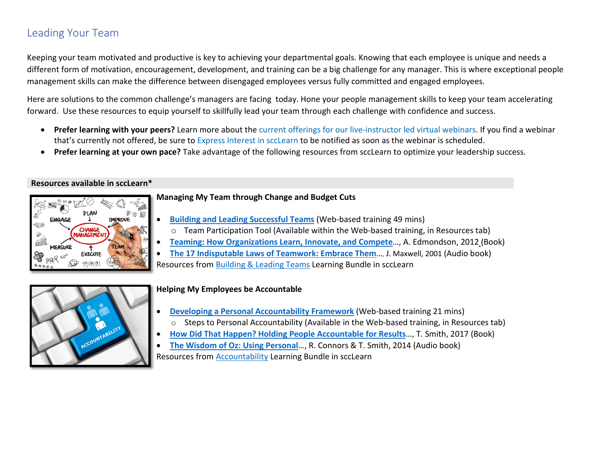# Leading Your Team

Keeping your team motivated and productive is key to achieving your departmental goals. Knowing that each employee is unique and needs a different form of motivation, encouragement, development, and training can be a big challenge for any manager. This is where exceptional people management skills can make the difference between disengaged employees versus fully committed and engaged employees.

Here are solutions to the common challenge's managers are facing today. Hone your people management skills to keep your team accelerating forward. Use these resources to equip yourself to skillfully lead your team through each challenge with confidence and success.

- **Prefer learning with your peers?** Learn more about th[e current offerings for our live-instructor led virtual webinars.](https://files.sccgov.org/bc-entlearningdocs/LEDWebinars.pdf) If you find a webinar that's currently not offered, be sure to [Express Interest in sccLearn](https://learning.sccgov.org/scclearn-resources) to be notified as soon as the webinar is scheduled.
- **Prefer learning at your own pace?** Take advantage of the following resources from sccLearn to optimize your leadership success.

#### **Resources available in sccLearn\***



#### **Managing My Team through Change and Budget Cuts**

- **[Building and Leading Successful Teams](https://scclearn.sumtotal.host/Core/pillarRedirect?relyingParty=LM&url=core%2Factivitydetails%2FViewActivityDetails%3FActivityId%3D90123%26UserMode%3D0)** (Web-based training 49 mins)
- o Team Participation Tool (Available within the Web-based training, in Resources tab)
- **[Teaming: How Organizations Learn, Innovate, and Compete](https://scclearn.sumtotal.host/Core/pillarRedirect?relyingParty=LM&url=core%2Factivitydetails%2FViewActivityDetails%3FActivityId%3D73531%26UserMode%3D0)**…, A. Edmondson, 2012 (Book)
- **[The 17 Indisputable Laws of Teamwork: Embrace Them](https://scclearn.sumtotal.host/Core/pillarRedirect?relyingParty=LM&url=https:%2F%2Fscclearn.sumtotal.host%2Flearning%2Fcore%2Factivitydetails%2FViewActivityDetails%3FUserMode%3D0%26ActivityId%3D88118%26ClassUnderStruct%3DFalse%26CallerUrl%3D%2Flearning%2Flearner%2FHome%2FGoToPortal%3Fkey%3D0%26SearchCallerURL%3Dhttps%253A%252F%252Fscclearn.sumtotal.host%252Fcore%252FsearchRedirect%253FViewType%253DList%2526SearchText%253D%252525E2%25252580%252525A2%25252509The%2525252017%25252520Indisputable%25252520Laws%25252520of%25252520Teamwork%2525253A%252525https://scclearn.sumtotal.host/core/pillarRedirect?relyingParty=LM&url=app%2Fmanagement%2FLMS_ActDetails.aspx%3FActivityId%3D88118%26UserMode%3D020Embrace%25252520Them%2526startRow%253D0%26SearchCallerID%3D2)**…, J. Maxwell, 2001 (Audio book)

Resources from [Building & Leading Teams](https://scclearn.sumtotal.host/Core/pillarRedirect?relyingParty=LM&url=https:%2F%2Fscclearn.sumtotal.host%2Flearning%2Fcore%2Factivitydetails%2FViewActivityDetails%3FUserMode%3D0%26ActivityId%3D100498%26ClassUnderStruct%3DFalse%26CallerUrl%3D%2Flearning%2Flearner%2FHome%2FGoToPortal%3Fkey%3D0%26SearchCallerURL%3Dhttps%253A%252F%252Fscclearn.sumtotal.host%252Fcore%252FsearchRedirect%253FViewType%253DList%2526SearchText%253Dbuilding%25252520and%25252520leading%25252520successful%25252520teams%2526startRow%253D0%26SearchCallerID%3D2) Learning Bundle in sccLearn



#### **Helping My Employees be Accountable**

- **[Developing a Personal Accountability Framework](https://scclearn.sumtotal.host/core/pillarRedirect?relyingParty=LM&url=app%2Fmanagement%2FLMS_ActDetails.aspx%3FActivityId%3D85198%26UserMode%3D0)** (Web-based training 21 mins)
	- o Steps to Personal Accountability (Available in the Web-based training, in Resources tab)
- **[How Did That Happen? Holding People Accountable for Results](https://scclearn.sumtotal.host/Core/pillarRedirect?relyingParty=LM&url=core%2Factivitydetails%2FViewActivityDetails%3FActivityId%3D90957%26UserMode%3D0)**…, T. Smith, 2017 (Book)
- **[The Wisdom of Oz: Using Personal](https://scclearn.sumtotal.host/Core/pillarRedirect?relyingParty=LM&url=core%2Factivitydetails%2FViewActivityDetails%3FActivityId%3D90957%26UserMode%3D0)**…, R. Connors & T. Smith, 2014 (Audio book) Resources from [Accountability](https://scclearn.sumtotal.host/Core/pillarRedirect?relyingParty=LM&url=https:%2F%2Fscclearn.sumtotal.host%2Flearning%2Fcore%2Factivitydetails%2FViewActivityDetails%3FUserMode%3D0%26ActivityId%3D100136%26ClassUnderStruct%3DFalse%26CallerUrl%3D%2Flearning%2Flearner%2FHome%2FGoToPortal%3Fkey%3D0%26SearchCallerURL%3Dhttps%253A%252F%252Fscclearn.sumtotal.host%252Fcore%252FsearchRedirect%253FTopicId%253D237%2526TopicName%253DManagement%2526SearchText%253D%25252A%2526SortField%253DName_Sortable%2526SortDirection%253Dasc%2526startRow%253D0%26SearchCallerID%3D1) Learning Bundle in sccLearn